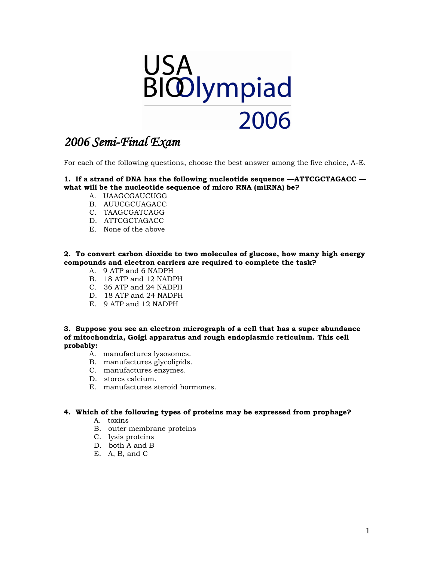

For each of the following questions, choose the best answer among the five choice, A-E.

#### **1. If a strand of DNA has the following nucleotide sequence —ATTCGCTAGACC what will be the nucleotide sequence of micro RNA (miRNA) be?**

- A. UAAGCGAUCUGG
- B. AUUCGCUAGACC
- C. TAAGCGATCAGG
- D. ATTCGCTAGACC
- E. None of the above

#### **2. To convert carbon dioxide to two molecules of glucose, how many high energy compounds and electron carriers are required to complete the task?**

- A. 9 ATP and 6 NADPH
- B. 18 ATP and 12 NADPH
- C. 36 ATP and 24 NADPH
- D. 18 ATP and 24 NADPH
- E. 9 ATP and 12 NADPH

**3. Suppose you see an electron micrograph of a cell that has a super abundance of mitochondria, Golgi apparatus and rough endoplasmic reticulum. This cell probably:** 

- A. manufactures lysosomes.
- B. manufactures glycolipids.
- C. manufactures enzymes.
- D. stores calcium.
- E. manufactures steroid hormones.

#### **4. Which of the following types of proteins may be expressed from prophage?**

- A. toxins
- B. outer membrane proteins
- C. lysis proteins
- D. both A and B
- E. A, B, and C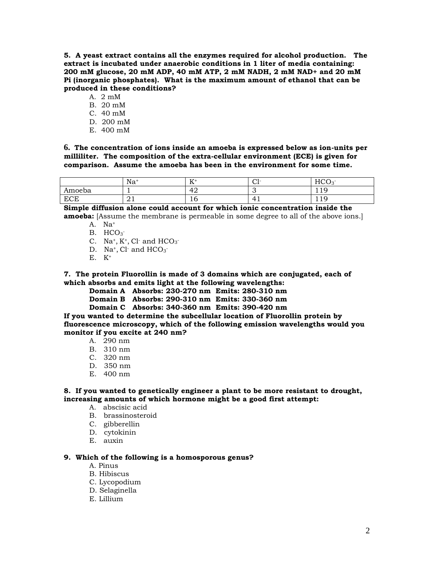**5. A yeast extract contains all the enzymes required for alcohol production. The extract is incubated under anaerobic conditions in 1 liter of media containing: 200 mM glucose, 20 mM ADP, 40 mM ATP, 2 mM NADH, 2 mM NAD+ and 20 mM Pi (inorganic phosphates). What is the maximum amount of ethanol that can be produced in these conditions?** 

- A. 2 mM
- B. 20 mM
- C. 40 mM
- D. 200 mM
- E. 400 mM

**6. The concentration of ions inside an amoeba is expressed below as ion-units per milliliter. The composition of the extra-cellular environment (ECE) is given for comparison. Assume the amoeba has been in the environment for some time.**

|            | Na <sup>-</sup> | $L^2$<br><b>TT</b> | $\cap$ 1.<br>◡ェ | HCO<br>$\lambda$<br>$\sim$   |
|------------|-----------------|--------------------|-----------------|------------------------------|
| Amoeba     |                 | 42                 | . .             | $\sqrt{ }$<br>. . <i>.</i>   |
| <b>ECE</b> | $\bigcap$<br>41 | ⊥∪                 | 4<br>. .        | $1 \Omega$<br>. . <i>. .</i> |

**Simple diffusion alone could account for which ionic concentration inside the amoeba:** [Assume the membrane is permeable in some degree to all of the above ions.]

A. Na<sup>+</sup>

- B.  $HCO<sub>3</sub>$
- C. Na<sup>+</sup>, K<sup>+</sup>, Cl<sup>-</sup> and  $HCO<sub>3</sub>$ <sup>-</sup>
- D. Na<sup>+</sup>, Cl<sup>-</sup> and  $HCO<sub>3</sub>$ <sup>-</sup>
- $E.$   $K^+$

**7. The protein Fluorollin is made of 3 domains which are conjugated, each of which absorbs and emits light at the following wavelengths:**

**Domain A Absorbs: 230-270 nm Emits: 280-310 nm**

**Domain B Absorbs: 290-310 nm Emits: 330-360 nm**

**Domain C Absorbs: 340-360 nm Emits: 390-420 nm**

**If you wanted to determine the subcellular location of Fluorollin protein by fluorescence microscopy, which of the following emission wavelengths would you monitor if you excite at 240 nm?** 

- A. 290 nm
- B. 310 nm
- C. 320 nm
- D. 350 nm
- E. 400 nm

**8. If you wanted to genetically engineer a plant to be more resistant to drought, increasing amounts of which hormone might be a good first attempt:** 

- A. abscisic acid
- B. brassinosteroid
- C. gibberellin
- D. cytokinin
- E. auxin

#### **9. Which of the following is a homosporous genus?**

- A. Pinus
- B. Hibiscus
- C. Lycopodium
- D. Selaginella
- E. Lillium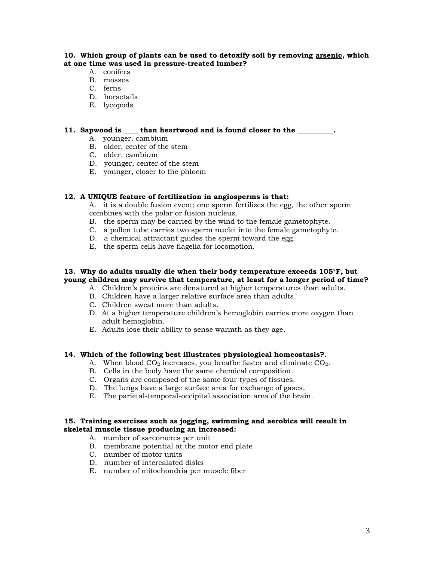#### **10. Which group of plants can be used to detoxify soil by removing arsenic, which at one time was used in pressure-treated lumber?**

- A. conifers
- B. mosses
- C. ferns
- D. horsetails
- E. lycopods

#### **11. Sapwood is \_\_\_\_ than heartwood and is found closer to the \_\_\_\_\_\_\_\_\_\_.**

- A. younger, cambium
- B. older, center of the stem
- C. older, cambium
- D. younger, center of the stem
- E. younger, closer to the phloem

#### **12. A UNIQUE feature of fertilization in angiosperms is that:**

A. it is a double fusion event; one sperm fertilizes the egg, the other sperm combines with the polar or fusion nucleus.

- B. the sperm may be carried by the wind to the female gametophyte.
- C. a pollen tube carries two sperm nuclei into the female gametophyte.
- D. a chemical attractant guides the sperm toward the egg.
- E. the sperm cells have flagella for locomotion.

#### **13. Why do adults usually die when their body temperature exceeds 105°F, but young children may survive that temperature, at least for a longer period of time?**

- A. Children's proteins are denatured at higher temperatures than adults.
- B. Children have a larger relative surface area than adults.
- C. Children sweat more than adults.
- D. At a higher temperature children's hemoglobin carries more oxygen than adult hemoglobin.
- E. Adults lose their ability to sense warmth as they age.

#### **14. Which of the following best illustrates physiological homeostasis?.**

- A. When blood  $CO<sub>2</sub>$  increases, you breathe faster and eliminate  $CO<sub>2</sub>$ .
- B. Cells in the body have the same chemical composition.
- C. Organs are composed of the same four types of tissues.
- D. The lungs have a large surface area for exchange of gases.
- E. The parietal-temporal-occipital association area of the brain.

#### **15. Training exercises such as jogging, swimming and aerobics will result in skeletal muscle tissue producing an increased:**

- A. number of sarcomeres per unit
- B. membrane potential at the motor end plate
- C. number of motor units
- D. number of intercalated disks
- E. number of mitochondria per muscle fiber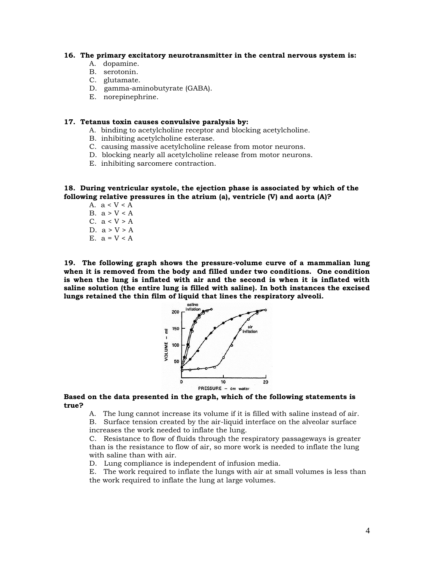#### **16. The primary excitatory neurotransmitter in the central nervous system is:**

- A. dopamine.
- B. serotonin.
- C. glutamate.
- D. gamma-aminobutyrate (GABA).
- E. norepinephrine.

#### **17. Tetanus toxin causes convulsive paralysis by:**

- A. binding to acetylcholine receptor and blocking acetylcholine.
- B. inhibiting acetylcholine esterase.
- C. causing massive acetylcholine release from motor neurons.
- D. blocking nearly all acetylcholine release from motor neurons.
- E. inhibiting sarcomere contraction.

**18. During ventricular systole, the ejection phase is associated by which of the following relative pressures in the atrium (a), ventricle (V) and aorta (A)?**

A.  $a < V < A$ B.  $a > V < A$ C.  $a < V > A$ D.  $a > V > A$ E.  $a = V < A$ 

**19. The following graph shows the pressure-volume curve of a mammalian lung when it is removed from the body and filled under two conditions. One condition is when the lung is inflated with air and the second is when it is inflated with saline solution (the entire lung is filled with saline). In both instances the excised lungs retained the thin film of liquid that lines the respiratory alveoli.**



**Based on the data presented in the graph, which of the following statements is true?** 

A. The lung cannot increase its volume if it is filled with saline instead of air. B. Surface tension created by the air-liquid interface on the alveolar surface increases the work needed to inflate the lung.

C. Resistance to flow of fluids through the respiratory passageways is greater than is the resistance to flow of air, so more work is needed to inflate the lung with saline than with air.

D. Lung compliance is independent of infusion media.

E. The work required to inflate the lungs with air at small volumes is less than the work required to inflate the lung at large volumes.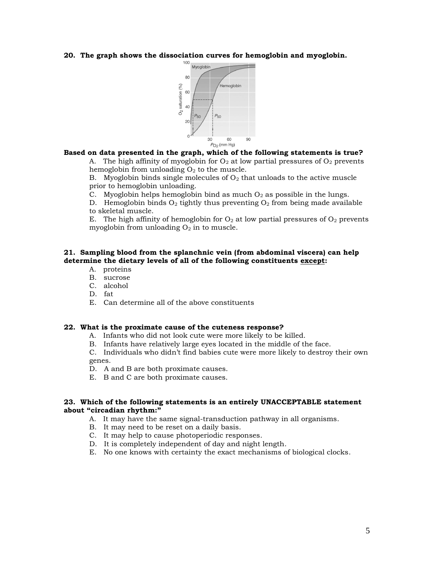**20. The graph shows the dissociation curves for hemoglobin and myoglobin.**



#### **Based on data presented in the graph, which of the following statements is true?**

A. The high affinity of myoglobin for  $O_2$  at low partial pressures of  $O_2$  prevents hemoglobin from unloading  $O_2$  to the muscle.

B. Myoglobin binds single molecules of  $O<sub>2</sub>$  that unloads to the active muscle prior to hemoglobin unloading.

C. Myoglobin helps hemoglobin bind as much  $O_2$  as possible in the lungs.

D. Hemoglobin binds  $O_2$  tightly thus preventing  $O_2$  from being made available to skeletal muscle.

E. The high affinity of hemoglobin for  $O_2$  at low partial pressures of  $O_2$  prevents myoglobin from unloading  $O_2$  in to muscle.

#### **21. Sampling blood from the splanchnic vein (from abdominal viscera) can help determine the dietary levels of all of the following constituents except:**

- A. proteins
- B. sucrose
- C. alcohol
- D. fat
- E. Can determine all of the above constituents

#### **22. What is the proximate cause of the cuteness response?**

- A. Infants who did not look cute were more likely to be killed.
- B. Infants have relatively large eyes located in the middle of the face.

C. Individuals who didn't find babies cute were more likely to destroy their own genes.

D. A and B are both proximate causes.

E. B and C are both proximate causes.

#### **23. Which of the following statements is an entirely UNACCEPTABLE statement about "circadian rhythm:"**

- A. It may have the same signal-transduction pathway in all organisms.
- B. It may need to be reset on a daily basis.
- C. It may help to cause photoperiodic responses.
- D. It is completely independent of day and night length.
- E. No one knows with certainty the exact mechanisms of biological clocks.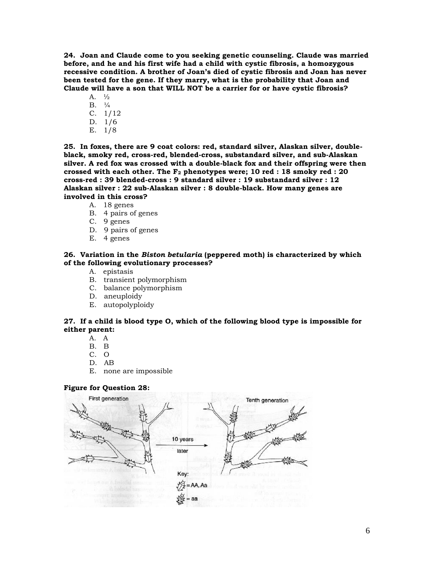**24. Joan and Claude come to you seeking genetic counseling. Claude was married before, and he and his first wife had a child with cystic fibrosis, a homozygous recessive condition. A brother of Joan's died of cystic fibrosis and Joan has never been tested for the gene. If they marry, what is the probability that Joan and Claude will have a son that WILL NOT be a carrier for or have cystic fibrosis?** 

A. ½  $B. \tfrac{1}{4}$ C. 1/12 D. 1/6 E. 1/8

**25. In foxes, there are 9 coat colors: red, standard silver, Alaskan silver, doubleblack, smoky red, cross-red, blended-cross, substandard silver, and sub-Alaskan silver. A red fox was crossed with a double-black fox and their offspring were then crossed with each other. The F<sup>2</sup> phenotypes were; 10 red : 18 smoky red : 20 cross-red : 39 blended-cross : 9 standard silver : 19 substandard silver : 12 Alaskan silver : 22 sub-Alaskan silver : 8 double-black. How many genes are** 

- **involved in this cross?** 
	- A. 18 genes
	- B. 4 pairs of genes
	- C. 9 genes
	- D. 9 pairs of genes
	- E. 4 genes

#### **26. Variation in the** *Biston betularia* **(peppered moth) is characterized by which of the following evolutionary processes?**

- A. epistasis
- B. transient polymorphism
- C. balance polymorphism
- D. aneuploidy
- E. autopolyploidy

#### **27. If a child is blood type O, which of the following blood type is impossible for either parent:**

- A. A
- B. B
- C. O
- D. AB
- E. none are impossible

#### **Figure for Question 28:**

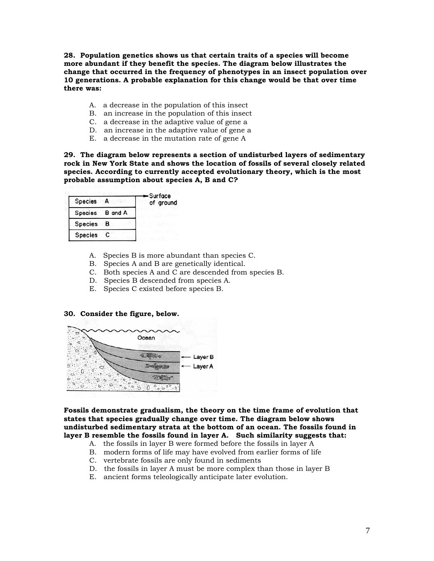**28. Population genetics shows us that certain traits of a species will become more abundant if they benefit the species. The diagram below illustrates the change that occurred in the frequency of phenotypes in an insect population over 10 generations. A probable explanation for this change would be that over time there was:** 

- A. a decrease in the population of this insect
- B. an increase in the population of this insect
- C. a decrease in the adaptive value of gene a
- D. an increase in the adaptive value of gene a
- E. a decrease in the mutation rate of gene A

**29. The diagram below represents a section of undisturbed layers of sedimentary rock in New York State and shows the location of fossils of several closely related species. According to currently accepted evolutionary theory, which is the most probable assumption about species A, B and C?** 

| Species         |     | — Surface<br>of ground |
|-----------------|-----|------------------------|
| Species B and A |     |                        |
| <b>Species</b>  | — B |                        |
| <b>Species</b>  |     |                        |

- A. Species B is more abundant than species C.
- B. Species A and B are genetically identical.
- C. Both species A and C are descended from species B.
- D. Species B descended from species A.
- E. Species C existed before species B.

#### **30. Consider the figure, below.**



**Fossils demonstrate gradualism, the theory on the time frame of evolution that states that species gradually change over time. The diagram below shows undisturbed sedimentary strata at the bottom of an ocean. The fossils found in layer B resemble the fossils found in layer A. Such similarity suggests that:** 

- A. the fossils in layer B were formed before the fossils in layer A
- B. modern forms of life may have evolved from earlier forms of life
- C. vertebrate fossils are only found in sediments
- D. the fossils in layer A must be more complex than those in layer B
- E. ancient forms teleologically anticipate later evolution.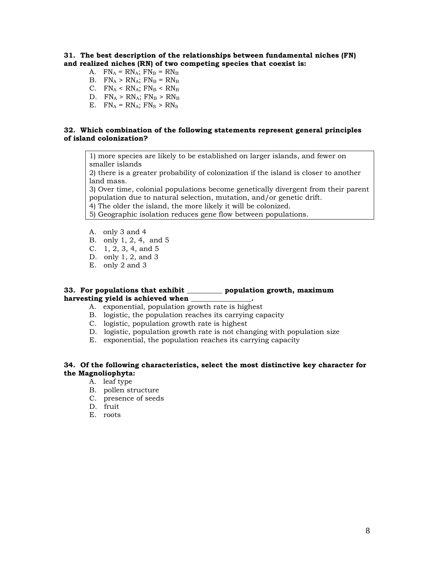#### **31. The best description of the relationships between fundamental niches (FN) and realized niches (RN) of two competing species that coexist is:**

- A.  $FN_A = RN_A$ ;  $FN_B = RN_B$
- B.  $FN_A > RN_A$ ;  $FN_B = RN_B$
- C.  $FN_A < RN_A$ ;  $FN_B < RN_B$
- D.  $FN_A > RN_A$ ;  $FN_B > RN_B$
- E.  $FN_A = RN_A$ ;  $FN_S > RN_S$

#### **32. Which combination of the following statements represent general principles of island colonization?**

1) more species are likely to be established on larger islands, and fewer on smaller islands

2) there is a greater probability of colonization if the island is closer to another land mass.

3) Over time, colonial populations become genetically divergent from their parent population due to natural selection, mutation, and/or genetic drift.

4) The older the island, the more likely it will be colonized.

5) Geographic isolation reduces gene flow between populations.

- A. only 3 and 4
- B. only 1, 2, 4, and 5
- C. 1, 2, 3, 4, and 5
- D. only 1, 2, and 3
- E. only 2 and 3

#### **33. For populations that exhibit \_\_\_\_\_\_\_\_\_\_ population growth, maximum**  harvesting vield is achieved when

- A. exponential, population growth rate is highest
- B. logistic, the population reaches its carrying capacity
- C. logistic, population growth rate is highest
- D. logistic, population growth rate is not changing with population size
- E. exponential, the population reaches its carrying capacity

#### **34. Of the following characteristics, select the most distinctive key character for the Magnoliophyta:**

- A. leaf type
- B. pollen structure
- C. presence of seeds
- D. fruit
- E. roots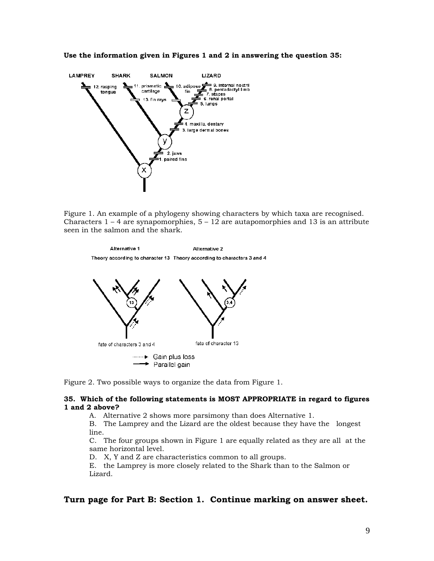



Figure 1. An example of a phylogeny showing characters by which taxa are recognised. Characters  $1 - 4$  are synapomorphies,  $5 - 12$  are autapomorphies and 13 is an attribute seen in the salmon and the shark.

```
Alternative 1
                                          Alternative 2
Theory according to character 13 Theory according to characters 3 and 4
```


Figure 2. Two possible ways to organize the data from Figure 1.

#### **35. Which of the following statements is MOST APPROPRIATE in regard to figures 1 and 2 above?**

A. Alternative 2 shows more parsimony than does Alternative 1.

B. The Lamprey and the Lizard are the oldest because they have the longest line.

C. The four groups shown in Figure 1 are equally related as they are all at the same horizontal level.

D. X, Y and Z are characteristics common to all groups.

E. the Lamprey is more closely related to the Shark than to the Salmon or Lizard.

### **Turn page for Part B: Section 1. Continue marking on answer sheet.**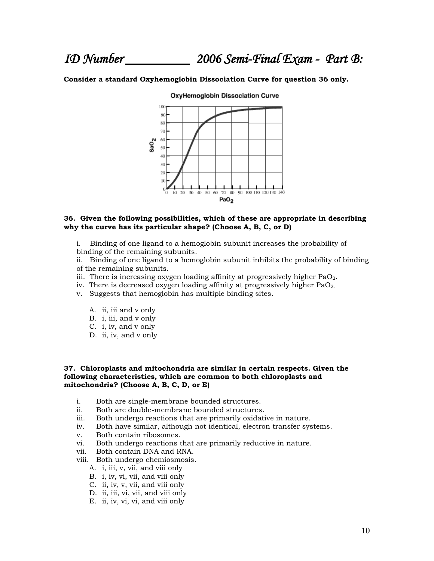*ID Number \_\_\_\_\_\_\_\_\_ 2006 Semi-Final Exam - Part B:* 

#### **Consider a standard Oxyhemoglobin Dissociation Curve for question 36 only.**



**OxyHemoglobin Dissociation Curve** 

#### **36. Given the following possibilities, which of these are appropriate in describing why the curve has its particular shape? (Choose A, B, C, or D)**

i. Binding of one ligand to a hemoglobin subunit increases the probability of binding of the remaining subunits.

ii. Binding of one ligand to a hemoglobin subunit inhibits the probability of binding of the remaining subunits.

- iii. There is increasing oxygen loading affinity at progressively higher  $PaO<sub>2</sub>$ .
- iv. There is decreased oxygen loading affinity at progressively higher  $PaO<sub>2</sub>$ .
- v. Suggests that hemoglobin has multiple binding sites.
	- A. ii, iii and v only
	- B. i, iii, and v only
	- C. i, iv, and v only
	- D. ii, iv, and v only

#### **37. Chloroplasts and mitochondria are similar in certain respects. Given the following characteristics, which are common to both chloroplasts and mitochondria? (Choose A, B, C, D, or E)**

- i. Both are single-membrane bounded structures.
- ii. Both are double-membrane bounded structures.
- iii. Both undergo reactions that are primarily oxidative in nature.
- iv. Both have similar, although not identical, electron transfer systems.
- v. Both contain ribosomes.
- vi. Both undergo reactions that are primarily reductive in nature.
- vii. Both contain DNA and RNA.
- viii. Both undergo chemiosmosis.
	- A. i, iii, v, vii, and viii only
	- B. i, iv, vi, vii, and viii only
	- C. ii, iv, v, vii, and viii only
	- D. ii, iii, vi, vii, and viii only
	- E. ii, iv, vi, vi, and viii only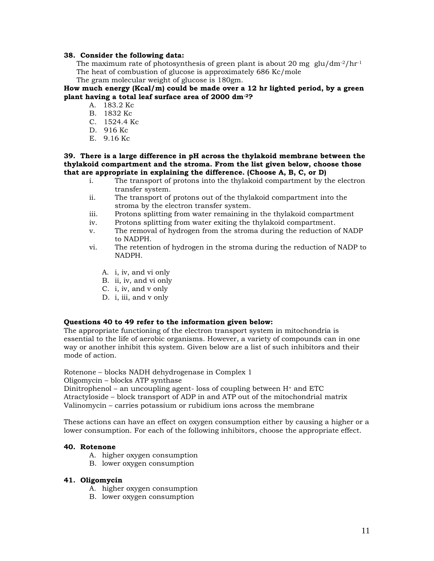#### **38. Consider the following data:**

The maximum rate of photosynthesis of green plant is about 20 mg glu/dm<sup>-2</sup>/hr<sup>-1</sup> The heat of combustion of glucose is approximately 686 Kc/mole The gram molecular weight of glucose is 180gm.

**How much energy (Kcal/m) could be made over a 12 hr lighted period, by a green plant having a total leaf surface area of 2000 dm-2?** 

- A. 183.2 Kc
- B. 1832 Kc
- C. 1524.4 Kc
- D. 916 Kc
- E. 9.16 Kc

#### **39. There is a large difference in pH across the thylakoid membrane between the thylakoid compartment and the stroma. From the list given below, choose those that are appropriate in explaining the difference. (Choose A, B, C, or D)**

- i. The transport of protons into the thylakoid compartment by the electron transfer system.
- ii. The transport of protons out of the thylakoid compartment into the stroma by the electron transfer system.
- iii. Protons splitting from water remaining in the thylakoid compartment
- iv. Protons splitting from water exiting the thylakoid compartment.
- v. The removal of hydrogen from the stroma during the reduction of NADP to NADPH.
- vi. The retention of hydrogen in the stroma during the reduction of NADP to NADPH.
	- A. i, iv, and vi only
	- B. ii, iv, and vi only
	- C. i, iv, and v only
	- D. i, iii, and v only

#### **Questions 40 to 49 refer to the information given below:**

The appropriate functioning of the electron transport system in mitochondria is essential to the life of aerobic organisms. However, a variety of compounds can in one way or another inhibit this system. Given below are a list of such inhibitors and their mode of action.

Rotenone – blocks NADH dehydrogenase in Complex 1

Oligomycin – blocks ATP synthase

Dinitrophenol – an uncoupling agent- loss of coupling between  $H^+$  and ETC

Atractyloside – block transport of ADP in and ATP out of the mitochondrial matrix Valinomycin – carries potassium or rubidium ions across the membrane

These actions can have an effect on oxygen consumption either by causing a higher or a lower consumption. For each of the following inhibitors, choose the appropriate effect.

#### **40. Rotenone**

- A. higher oxygen consumption
- B. lower oxygen consumption

#### **41. Oligomycin**

- A. higher oxygen consumption
- B. lower oxygen consumption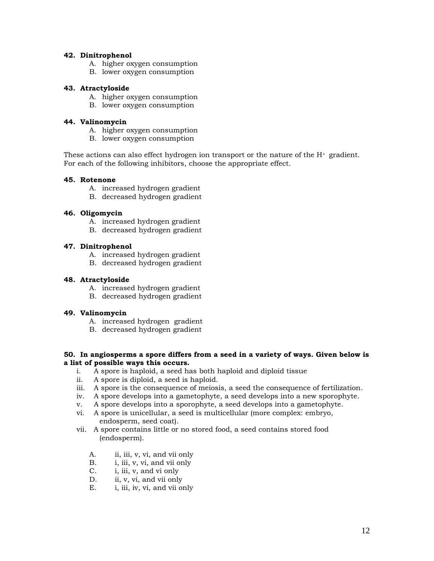#### **42. Dinitrophenol**

- A. higher oxygen consumption
- B. lower oxygen consumption

#### **43. Atractyloside**

- A. higher oxygen consumption
- B. lower oxygen consumption

#### **44. Valinomycin**

- A. higher oxygen consumption
- B. lower oxygen consumption

These actions can also effect hydrogen ion transport or the nature of the  $H^+$  gradient. For each of the following inhibitors, choose the appropriate effect.

#### **45. Rotenone**

- A. increased hydrogen gradient
- B. decreased hydrogen gradient

#### **46. Oligomycin**

- A. increased hydrogen gradient
- B. decreased hydrogen gradient

#### **47. Dinitrophenol**

- A. increased hydrogen gradient
- B. decreased hydrogen gradient

#### **48. Atractyloside**

- A. increased hydrogen gradient
- B. decreased hydrogen gradient

### **49. Valinomycin**

- A. increased hydrogen gradient
- B. decreased hydrogen gradient

#### **50. In angiosperms a spore differs from a seed in a variety of ways. Given below is a list of possible ways this occurs.**

- i. A spore is haploid, a seed has both haploid and diploid tissue
- ii. A spore is diploid, a seed is haploid.
- iii. A spore is the consequence of meiosis, a seed the consequence of fertilization.
- iv. A spore develops into a gametophyte, a seed develops into a new sporophyte.
- v. A spore develops into a sporophyte, a seed develops into a gametophyte.
- vi. A spore is unicellular, a seed is multicellular (more complex: embryo, endosperm, seed coat).
- vii. A spore contains little or no stored food, a seed contains stored food (endosperm).
	- A. ii, iii, v, vi, and vii only
	- B. i, iii, v, vi, and vii only
	- C. i, iii, v, and vi only
	- D. ii, v, vi, and vii only
	- E. i, iii, iv, vi, and vii only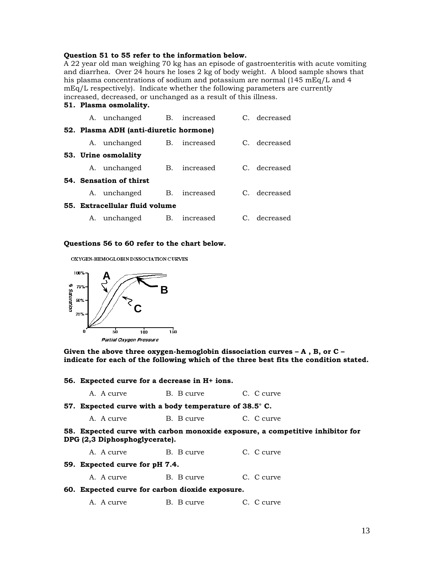#### **Question 51 to 55 refer to the information below.**

A 22 year old man weighing 70 kg has an episode of gastroenteritis with acute vomiting and diarrhea. Over 24 hours he loses 2 kg of body weight. A blood sample shows that his plasma concentrations of sodium and potassium are normal (145 mEq/L and 4 mEq/L respectively). Indicate whether the following parameters are currently increased, decreased, or unchanged as a result of this illness.

### **51. Plasma osmolality.** A. unchanged B. increased C. decreased **52. Plasma ADH (anti-diuretic hormone)** A. unchanged B. increased C. decreased **53. Urine osmolality**  A. unchanged B. increased C. decreased **54. Sensation of thirst**  A. unchanged B. increased C. decreased **55. Extracellular fluid volume**

A. unchanged B. increased C. decreased

#### **Questions 56 to 60 refer to the chart below.**

OXYGEN-HEMOGLOBIN DISSOCIATION CURVES



**Given the above three oxygen-hemoglobin dissociation curves – A , B, or C – indicate for each of the following which of the three best fits the condition stated.** 

| 56. Expected curve for a decrease in H+ ions. |                                                       |                                                                               |  |
|-----------------------------------------------|-------------------------------------------------------|-------------------------------------------------------------------------------|--|
| A. A curve                                    | B. B curve                                            | C. C curve                                                                    |  |
|                                               | 57. Expected curve with a body temperature of 38.5°C. |                                                                               |  |
| A. A curve                                    | B. B curve                                            | C. C curve                                                                    |  |
| DPG (2,3 Diphosphoglycerate).                 |                                                       | 58. Expected curve with carbon monoxide exposure, a competitive inhibitor for |  |
| A. A curve                                    | B. B curve                                            | C. C curve                                                                    |  |

**59. Expected curve for pH 7.4.** A. A curve B. B curve C. C curve **60. Expected curve for carbon dioxide exposure.** A. A curve B. B curve C. C curve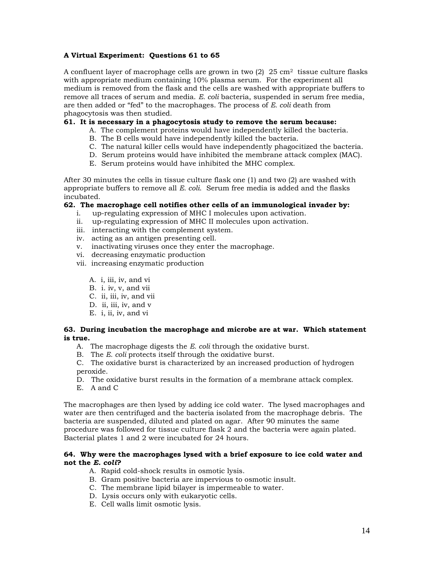### **A Virtual Experiment: Questions 61 to 65**

A confluent layer of macrophage cells are grown in two  $(2)$   $25 \text{ cm}^2$  tissue culture flasks with appropriate medium containing 10% plasma serum. For the experiment all medium is removed from the flask and the cells are washed with appropriate buffers to remove all traces of serum and media. *E. coli* bacteria, suspended in serum free media, are then added or "fed" to the macrophages. The process of *E. coli* death from phagocytosis was then studied.

#### **61. It is necessary in a phagocytosis study to remove the serum because:**

- A. The complement proteins would have independently killed the bacteria.
- B. The B cells would have independently killed the bacteria.
- C. The natural killer cells would have independently phagocitized the bacteria.
- D. Serum proteins would have inhibited the membrane attack complex (MAC).
- E. Serum proteins would have inhibited the MHC complex.

After 30 minutes the cells in tissue culture flask one (1) and two (2) are washed with appropriate buffers to remove all *E. coli*. Serum free media is added and the flasks incubated.

#### **62. The macrophage cell notifies other cells of an immunological invader by:**

- i. up-regulating expression of MHC I molecules upon activation.
- ii. up-regulating expression of MHC II molecules upon activation.
- iii. interacting with the complement system.
- iv. acting as an antigen presenting cell.
- v. inactivating viruses once they enter the macrophage.
- vi. decreasing enzymatic production
- vii. increasing enzymatic production
	- A. i, iii, iv, and vi
	- B. i. iv, v, and vii
	- C. ii, iii, iv, and vii
	- D. ii, iii, iv, and v
	- E. i, ii, iv, and vi

#### **63. During incubation the macrophage and microbe are at war. Which statement is true.**

- A. The macrophage digests the *E. coli* through the oxidative burst.
- B. The *E. coli* protects itself through the oxidative burst.

C. The oxidative burst is characterized by an increased production of hydrogen peroxide.

- D. The oxidative burst results in the formation of a membrane attack complex.
- E. A and C

The macrophages are then lysed by adding ice cold water. The lysed macrophages and water are then centrifuged and the bacteria isolated from the macrophage debris. The bacteria are suspended, diluted and plated on agar. After 90 minutes the same procedure was followed for tissue culture flask 2 and the bacteria were again plated. Bacterial plates 1 and 2 were incubated for 24 hours.

#### **64. Why were the macrophages lysed with a brief exposure to ice cold water and not the** *E. coli***?**

- A. Rapid cold-shock results in osmotic lysis.
- B. Gram positive bacteria are impervious to osmotic insult.
- C. The membrane lipid bilayer is impermeable to water.
- D. Lysis occurs only with eukaryotic cells.
- E. Cell walls limit osmotic lysis.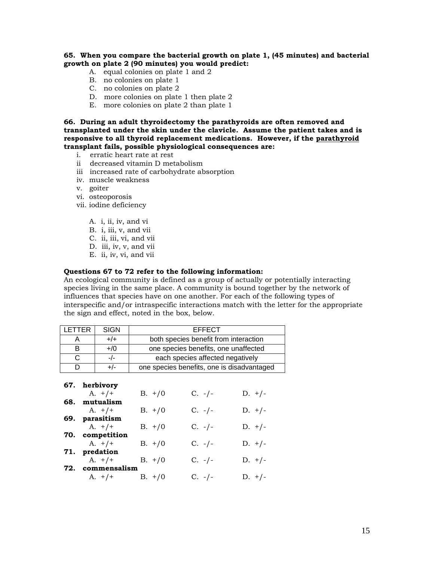**65. When you compare the bacterial growth on plate 1, (45 minutes) and bacterial growth on plate 2 (90 minutes) you would predict:**

- A.equal colonies on plate 1 and 2
- B. no colonies on plate 1
- C. no colonies on plate 2
- D. more colonies on plate 1 then plate 2
- E. more colonies on plate 2 than plate 1

**66. During an adult thyroidectomy the parathyroids are often removed and transplanted under the skin under the clavicle. Assume the patient takes and is responsive to all thyroid replacement medications. However, if the parathyroid transplant fails, possible physiological consequences are:**

- i. erratic heart rate at rest
- ii decreased vitamin D metabolism
- iii increased rate of carbohydrate absorption
- iv. muscle weakness
- v. goiter
- vi. osteoporosis
- vii. iodine deficiency
	- A. i, ii, iv, and vi
	- B. i, iii, v, and vii
	- C. ii, iii, vi, and vii
	- D. iii, iv, v, and vii
	- E. ii, iv, vi, and vii

#### **Questions 67 to 72 refer to the following information:**

An ecological community is defined as a group of actually or potentially interacting species living in the same place. A community is bound together by the network of influences that species have on one another. For each of the following types of interspecific and/or intraspecific interactions match with the letter for the appropriate the sign and effect, noted in the box, below.

| LETTER |               | SIGN             |                                            | <b>EFFECT</b>                         |          |
|--------|---------------|------------------|--------------------------------------------|---------------------------------------|----------|
| A      |               | $+/+$            |                                            | both species benefit from interaction |          |
| B      |               | $+/0$            | one species benefits, one unaffected       |                                       |          |
| C      |               | $-/-$            | each species affected negatively           |                                       |          |
| D      |               | $+/-$            | one species benefits, one is disadvantaged |                                       |          |
|        |               |                  |                                            |                                       |          |
|        |               | 67. herbivory    |                                            |                                       |          |
|        |               | $A. + / +$       | $B. + / 0$                                 | $C. -/-$                              | $D. +/-$ |
| 68.    |               | mutualism        |                                            |                                       |          |
|        |               | $A. + / +$       | $B. + / 0$                                 | $C. -/-$                              | $D. +/-$ |
|        |               | 69. parasitism   |                                            |                                       |          |
|        |               | $A. + / +$       | $B. + / 0$                                 | $C. -/-$                              | $D. +/-$ |
|        |               | 70. competition  |                                            |                                       |          |
|        |               | $A. + / +$       | $B. + / 0$                                 | $C. -/-$                              | $D. +/-$ |
|        | 71. predation |                  |                                            |                                       |          |
|        |               | $A. + / +$       | $B. + / 0$                                 | $C. -/-$                              | $D. +/-$ |
|        |               | 72. commensalism |                                            |                                       |          |
|        |               | $A. +/+$         | $B. + / 0$                                 | $C. -/-$                              | $D. +/-$ |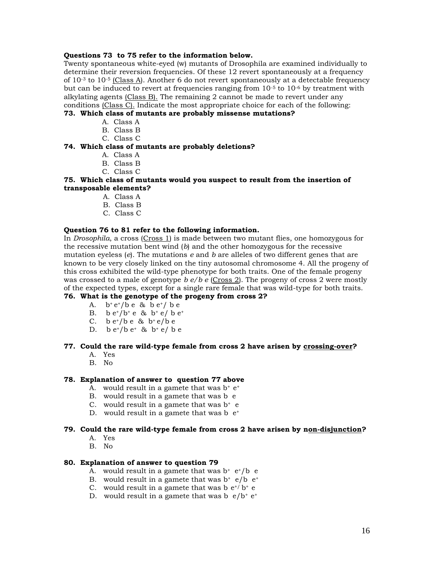#### **Questions 73 to 75 refer to the information below.**

Twenty spontaneous white-eyed (w) mutants of Drosophila are examined individually to determine their reversion frequencies. Of these 12 revert spontaneously at a frequency of  $10^{-3}$  to  $10^{-5}$  (Class A). Another 6 do not revert spontaneously at a detectable frequency but can be induced to revert at frequencies ranging from  $10^{-5}$  to  $10^{-6}$  by treatment with alkylating agents (Class B). The remaining 2 cannot be made to revert under any conditions (Class C). Indicate the most appropriate choice for each of the following:

### **73. Which class of mutants are probably missense mutations?**

- A. Class A
- B. Class B
- C. Class C

### **74. Which class of mutants are probably deletions?**

- A. Class A
- B. Class B
- C. Class C

#### **75. Which class of mutants would you suspect to result from the insertion of transposable elements?**

- A. Class A
- B. Class B
- C. Class C

#### **Question 76 to 81 refer to the following information.**

In *Drosophila*, a cross (Cross 1) is made between two mutant flies, one homozygous for the recessive mutation bent wind (*b*) and the other homozygous for the recessive mutation eyeless (*e*). The mutations *e* and *b* are alleles of two different genes that are known to be very closely linked on the tiny autosomal chromosome 4. All the progeny of this cross exhibited the wild-type phenotype for both traits. One of the female progeny was crossed to a male of genotype *b e/b e* (Cross 2). The progeny of cross 2 were mostly of the expected types, except for a single rare female that was wild-type for both traits.

#### **76. What is the genotype of the progeny from cross 2?**

- A.  $b^+e^+/b\ e\ \&\ b\ e^+/b\ e$
- B.  $b e^{t}/b^{+} e \& b^{+} e / b e^{+}$
- C. b  $e^*/b e$  &  $b^* e/b e$
- D.  $b e^{t}/b e^{t}$  &  $b^{t} e/be$

#### **77. Could the rare wild-type female from cross 2 have arisen by crossing-over?**

- A. Yes
- B. No

#### **78. Explanation of answer to question 77 above**

- A. would result in a gamete that was  $b^+ e^+$
- B. would result in a gamete that was b e
- C. would result in a gamete that was  $b^+$  e
- D. would result in a gamete that was  $b e^+$

#### **79. Could the rare wild-type female from cross 2 have arisen by non-disjunction?**

- A. Yes
- B. No

#### **80. Explanation of answer to question 79**

- A. would result in a gamete that was  $b^+ e^+ / b$  e
- B. would result in a gamete that was  $b^+ e/b e^+$
- C. would result in a gamete that was  $b e^{t}/b^+ e$
- D. would result in a gamete that was b  $e/b^+ e^+$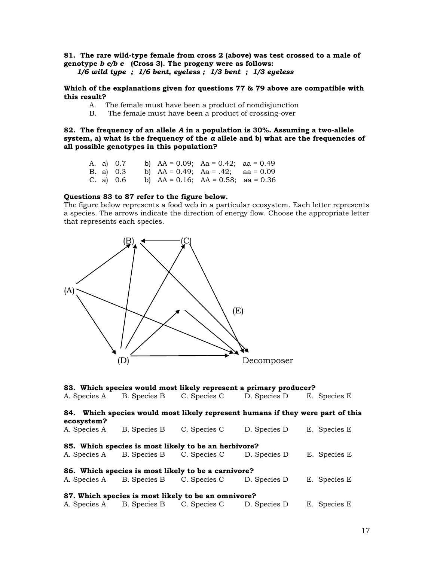#### **81. The rare wild-type female from cross 2 (above) was test crossed to a male of genotype** *b e/b e* **(Cross 3). The progeny were as follows:** *1/6 wild type ; 1/6 bent, eyeless ; 1/3 bent ; 1/3 eyeless*

**Which of the explanations given for questions 77 & 79 above are compatible with this result?** 

- A. The female must have been a product of nondisjunction
- B. The female must have been a product of crossing-over

**82. The frequency of an allele** *A* **in a population is 30%. Assuming a two-allele system, a) what is the frequency of the** *a* **allele and b) what are the frequencies of all possible genotypes in this population?** 

|  | A. a) 0.7 |  | b) $AA = 0.09$ ; $Aa = 0.42$ ; $aa = 0.49$ |  |
|--|-----------|--|--------------------------------------------|--|
|  | B. a) 0.3 |  | b) $AA = 0.49$ ; $Aa = .42$ ; $aa = 0.09$  |  |
|  | C. a) 0.6 |  | b) $AA = 0.16$ ; $AA = 0.58$ ; $aa = 0.36$ |  |

#### **Questions 83 to 87 refer to the figure below.**

The figure below represents a food web in a particular ecosystem. Each letter represents a species. The arrows indicate the direction of energy flow. Choose the appropriate letter that represents each species.



|                                                     |                           | 83. Which species would most likely represent a primary producer?              |               |               |
|-----------------------------------------------------|---------------------------|--------------------------------------------------------------------------------|---------------|---------------|
| A. Species A                                        | B. Species B C. Species C |                                                                                | D. Species D  | E. Species E. |
| ecosystem?                                          |                           | 84. Which species would most likely represent humans if they were part of this |               |               |
| A. Species A                                        | B. Species B              | C. Species C                                                                   | D. Species D. | E. Species E. |
|                                                     |                           | 85. Which species is most likely to be an herbivore?                           |               |               |
| A. Species A                                        | B. Species B C. Species C |                                                                                | D. Species D. | E. Species E  |
| 86. Which species is most likely to be a carnivore? |                           |                                                                                |               |               |
| A. Species A                                        |                           | B. Species B C. Species C                                                      | D. Species D. | E. Species E  |
| 87. Which species is most likely to be an omnivore? |                           |                                                                                |               |               |
| A. Species A                                        | B. Species B C. Species C |                                                                                | D. Species D  | E. Species E. |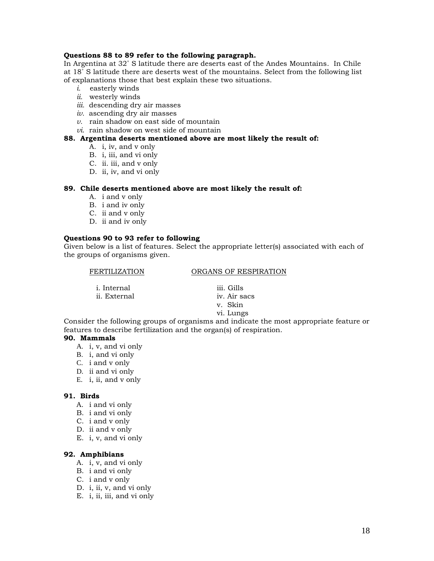#### **Questions 88 to 89 refer to the following paragraph.**

In Argentina at 32˚ S latitude there are deserts east of the Andes Mountains. In Chile at 18˚ S latitude there are deserts west of the mountains. Select from the following list of explanations those that best explain these two situations.

- *i.* easterly winds
- *ii.* westerly winds
- *iii.* descending dry air masses
- *iv.* ascending dry air masses
- *v.* rain shadow on east side of mountain
- *vi*. rain shadow on west side of mountain

#### **88. Argentina deserts mentioned above are most likely the result of:**

- A. i, iv, and v only
- B. i, iii, and vi only
- C. ii. iii, and v only
- D. ii, iv, and vi only

#### **89. Chile deserts mentioned above are most likely the result of:**

- A. i and v only
- B. i and iv only
- C. ii and v only
- D. ii and iv only

#### **Questions 90 to 93 refer to following**

Given below is a list of features. Select the appropriate letter(s) associated with each of the groups of organisms given.

ORGANS OF RESPIRATION

| <i>i</i> . Internal | iii. Gills   |
|---------------------|--------------|
| ii. External        | iv. Air sacs |
|                     |              |

- 
- v. Skin
- vi. Lungs

Consider the following groups of organisms and indicate the most appropriate feature or features to describe fertilization and the organ(s) of respiration.

#### **90. Mammals**

- A. i, v, and vi only
- B. i, and vi only
- C. i and v only
- D. ii and vi only
- E. i, ii, and v only

#### **91. Birds**

- A. i and vi only
- B. i and vi only
- C. i and v only
- D. ii and v only
- E. i, v, and vi only

#### **92. Amphibians**

- A. i, v, and vi only
- B. i and vi only
- C. i and v only
- D. i, ii, v, and vi only
- E. i, ii, iii, and vi only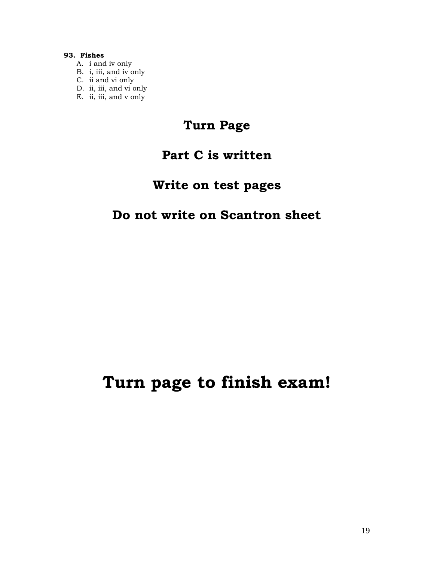#### **93. Fishes**

- A. i and iv only
- B. i, iii, and iv only
- C. ii and vi only
- D. ii, iii, and vi only
- E. ii, iii, and v only

## **Turn Page**

## **Part C is written**

## **Write on test pages**

### **Do not write on Scantron sheet**

## **Turn page to finish exam!**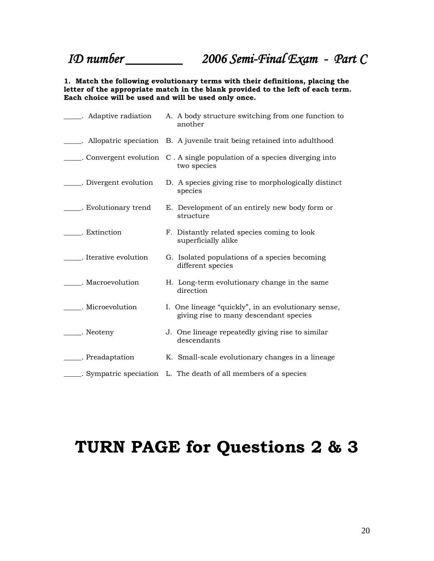*ID number \_\_\_\_\_\_\_\_ 2006 Semi-Final Exam - Part C*

**1. Match the following evolutionary terms with their definitions, placing the letter of the appropriate match in the blank provided to the left of each term. Each choice will be used and will be used only once.**

| Adaptive radiation         | A. A body structure switching from one function to<br>another                                 |
|----------------------------|-----------------------------------------------------------------------------------------------|
|                            | ____. Allopatric speciation B. A juvenile trait being retained into adulthood                 |
|                            | Convergent evolution C. A single population of a species diverging into<br>two species        |
| ____. Divergent evolution  | D. A species giving rise to morphologically distinct<br>species                               |
| ______. Evolutionary trend | E. Development of an entirely new body form or<br>structure                                   |
| . Extinction               | F. Distantly related species coming to look<br>superficially alike                            |
| . Iterative evolution      | G. Isolated populations of a species becoming<br>different species                            |
| Macroevolution             | H. Long-term evolutionary change in the same<br>direction                                     |
| . Microevolution           | I. One lineage "quickly", in an evolutionary sense,<br>giving rise to many descendant species |
| _____. Neoteny             | J. One lineage repeatedly giving rise to similar<br>descendants                               |
| Preadaptation              | K. Small-scale evolutionary changes in a lineage                                              |
|                            | Sympatric speciation L. The death of all members of a species                                 |

# **TURN PAGE for Questions 2 & 3**

20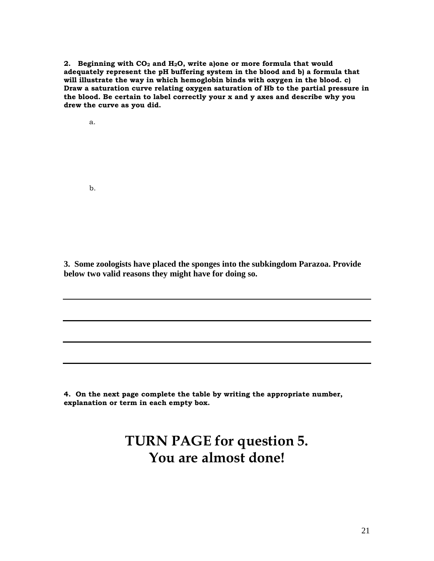**2. Beginning with CO<sup>2</sup> and H2O, write a)one or more formula that would adequately represent the pH buffering system in the blood and b) a formula that will illustrate the way in which hemoglobin binds with oxygen in the blood. c) Draw a saturation curve relating oxygen saturation of Hb to the partial pressure in the blood. Be certain to label correctly your x and y axes and describe why you drew the curve as you did.**

a.

b.

**3. Some zoologists have placed the sponges into the subkingdom Parazoa. Provide below two valid reasons they might have for doing so.**

**4. On the next page complete the table by writing the appropriate number, explanation or term in each empty box.**

## **TURN PAGE for question 5. You are almost done!**